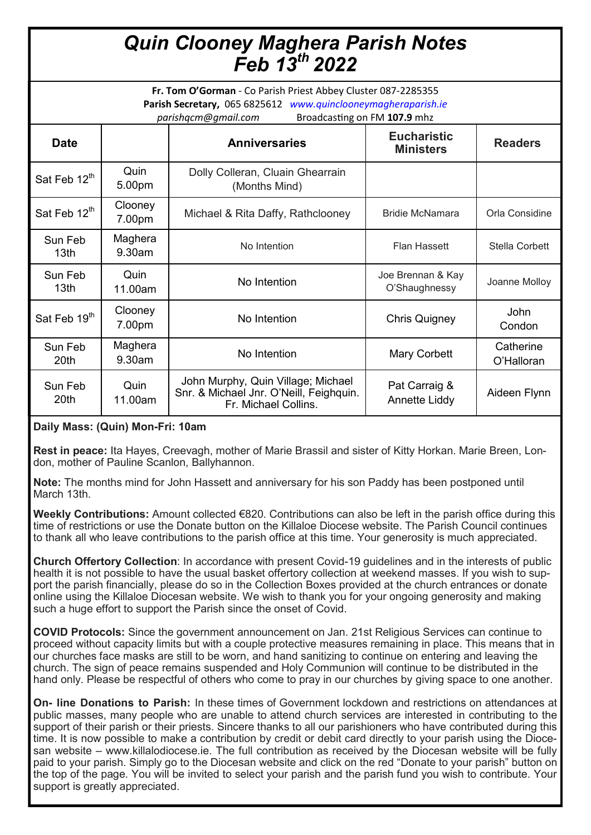## *Quin Clooney Maghera Parish Notes Feb 13th 2022*

| Fr. Tom O'Gorman - Co Parish Priest Abbey Cluster 087-2285355<br>Parish Secretary, 065 6825612 www.quinclooneymagheraparish.ie<br>Broadcasting on FM 107.9 mhz<br>parishqcm@gmail.com |                      |                                                                                                       |                                        |                         |
|---------------------------------------------------------------------------------------------------------------------------------------------------------------------------------------|----------------------|-------------------------------------------------------------------------------------------------------|----------------------------------------|-------------------------|
| <b>Date</b>                                                                                                                                                                           |                      | <b>Anniversaries</b>                                                                                  | <b>Eucharistic</b><br><b>Ministers</b> | <b>Readers</b>          |
| Sat Feb 12 <sup>th</sup>                                                                                                                                                              | Quin<br>5.00pm       | Dolly Colleran, Cluain Ghearrain<br>(Months Mind)                                                     |                                        |                         |
| Sat Feb 12 <sup>th</sup>                                                                                                                                                              | Clooney<br>7.00pm    | Michael & Rita Daffy, Rathclooney                                                                     | <b>Bridie McNamara</b>                 | Orla Considine          |
| Sun Feb<br>13 <sub>th</sub>                                                                                                                                                           | Maghera<br>9.30am    | No Intention                                                                                          | <b>Flan Hassett</b>                    | Stella Corbett          |
| Sun Feb<br>13th                                                                                                                                                                       | Quin<br>11.00am      | No Intention                                                                                          | Joe Brennan & Kay<br>O'Shaughnessy     | Joanne Molloy           |
| Sat Feb 19th                                                                                                                                                                          | Clooney<br>7.00pm    | No Intention                                                                                          | <b>Chris Quigney</b>                   | John<br>Condon          |
| Sun Feb<br>20th                                                                                                                                                                       | Maghera<br>$9.30$ am | No Intention                                                                                          | Mary Corbett                           | Catherine<br>O'Halloran |
| Sun Feb<br>20th                                                                                                                                                                       | Quin<br>11.00am      | John Murphy, Quin Village; Michael<br>Snr. & Michael Jnr. O'Neill, Feighquin.<br>Fr. Michael Collins. | Pat Carraig &<br><b>Annette Liddy</b>  | Aideen Flynn            |

**Daily Mass: (Quin) Mon-Fri: 10am**

**Rest in peace:** Ita Hayes, Creevagh, mother of Marie Brassil and sister of Kitty Horkan. Marie Breen, London, mother of Pauline Scanlon, Ballyhannon.

**Note:** The months mind for John Hassett and anniversary for his son Paddy has been postponed until March 13th.

**Weekly Contributions:** Amount collected €820. Contributions can also be left in the parish office during this time of restrictions or use the Donate button on the Killaloe Diocese website. The Parish Council continues to thank all who leave contributions to the parish office at this time. Your generosity is much appreciated.

**Church Offertory Collection**: In accordance with present Covid-19 guidelines and in the interests of public health it is not possible to have the usual basket offertory collection at weekend masses. If you wish to support the parish financially, please do so in the Collection Boxes provided at the church entrances or donate online using the Killaloe Diocesan website. We wish to thank you for your ongoing generosity and making such a huge effort to support the Parish since the onset of Covid.

**COVID Protocols:** Since the government announcement on Jan. 21st Religious Services can continue to proceed without capacity limits but with a couple protective measures remaining in place. This means that in our churches face masks are still to be worn, and hand sanitizing to continue on entering and leaving the church. The sign of peace remains suspended and Holy Communion will continue to be distributed in the hand only. Please be respectful of others who come to pray in our churches by giving space to one another.

**On- line Donations to Parish:** In these times of Government lockdown and restrictions on attendances at public masses, many people who are unable to attend church services are interested in contributing to the support of their parish or their priests. Sincere thanks to all our parishioners who have contributed during this time. It is now possible to make a contribution by credit or debit card directly to your parish using the Diocesan website – www.killalodiocese.ie. The full contribution as received by the Diocesan website will be fully paid to your parish. Simply go to the Diocesan website and click on the red "Donate to your parish" button on the top of the page. You will be invited to select your parish and the parish fund you wish to contribute. Your support is greatly appreciated.